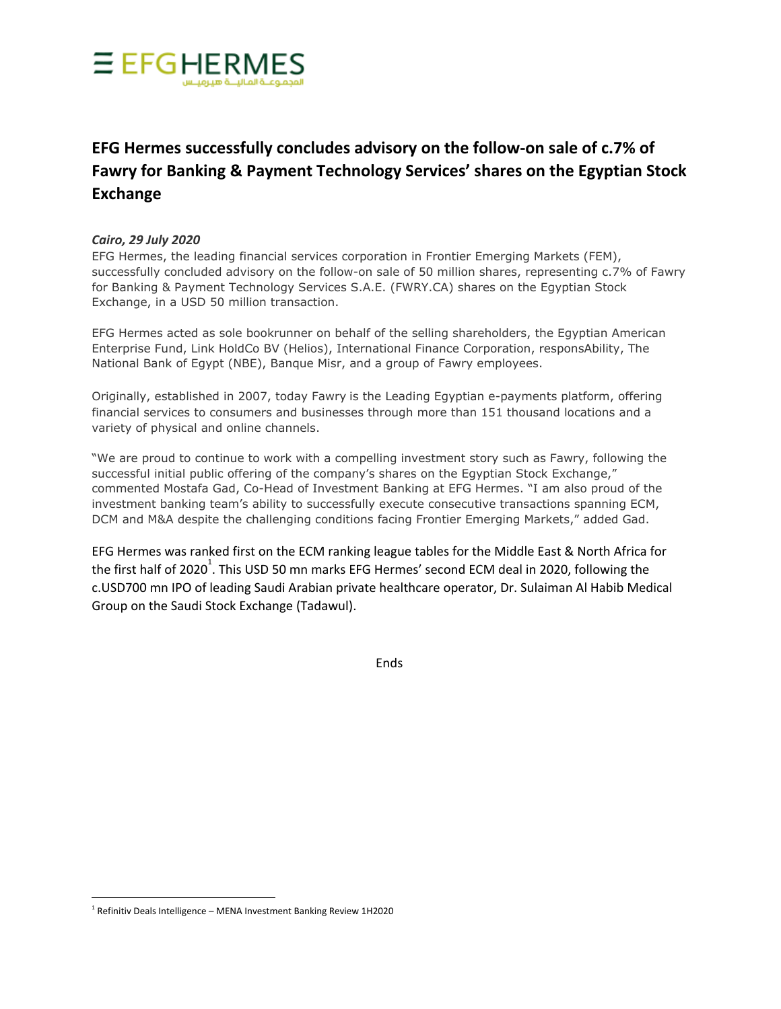

## **EFG Hermes successfully concludes advisory on the follow-on sale of c.7% of Fawry for Banking & Payment Technology Services' shares on the Egyptian Stock Exchange**

## *Cairo, 29 July 2020*

EFG Hermes, the leading financial services corporation in Frontier Emerging Markets (FEM), successfully concluded advisory on the follow-on sale of 50 million shares, representing c.7% of Fawry for Banking & Payment Technology Services S.A.E. (FWRY.CA) shares on the Egyptian Stock Exchange, in a USD 50 million transaction.

EFG Hermes acted as sole bookrunner on behalf of the selling shareholders, the Egyptian American Enterprise Fund, Link HoldCo BV (Helios), International Finance Corporation, responsAbility, The National Bank of Egypt (NBE), Banque Misr, and a group of Fawry employees.

Originally, established in 2007, today Fawry is the Leading Egyptian e-payments platform, offering financial services to consumers and businesses through more than 151 thousand locations and a variety of physical and online channels.

"We are proud to continue to work with a compelling investment story such as Fawry, following the successful initial public offering of the company's shares on the Egyptian Stock Exchange," commented Mostafa Gad, Co-Head of Investment Banking at EFG Hermes. "I am also proud of the investment banking team's ability to successfully execute consecutive transactions spanning ECM, DCM and M&A despite the challenging conditions facing Frontier Emerging Markets," added Gad.

EFG Hermes was ranked first on the ECM ranking league tables for the Middle East & North Africa for the first half of 2020<sup>1</sup>. This USD 50 mn marks EFG Hermes' second ECM deal in 2020, following the c.USD700 mn IPO of leading Saudi Arabian private healthcare operator, Dr. Sulaiman Al Habib Medical Group on the Saudi Stock Exchange (Tadawul).

Ends

 $1$  Refinitiv Deals Intelligence – MENA Investment Banking Review 1H2020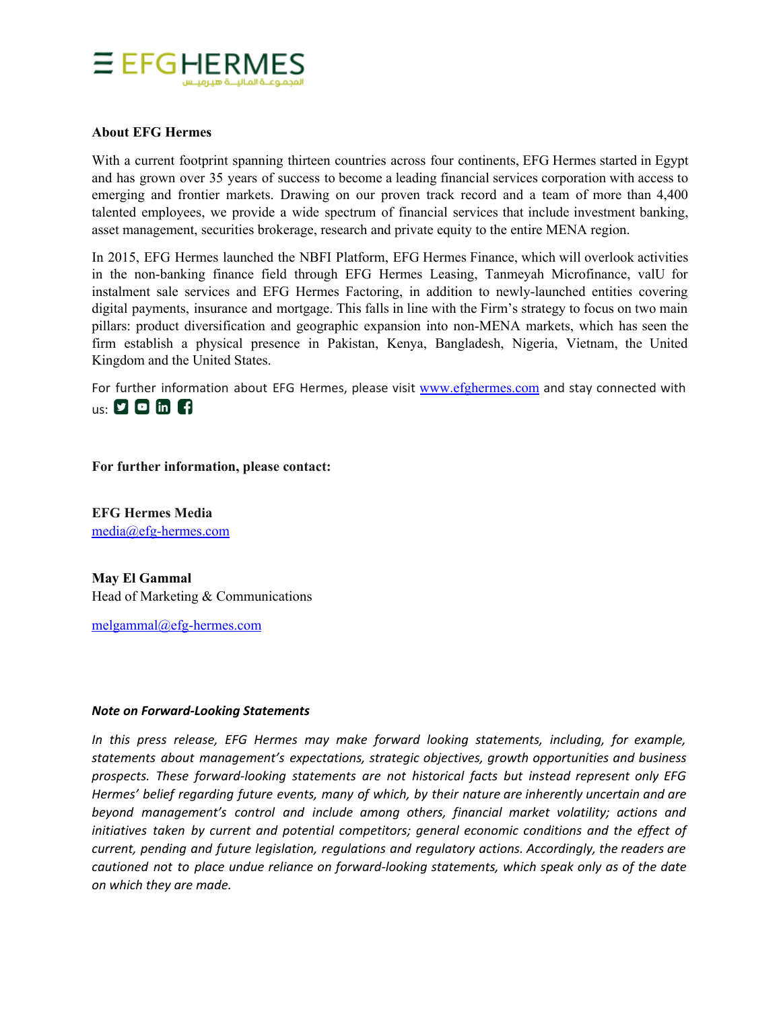

## **About EFG Hermes**

With a current footprint spanning thirteen countries across four continents, EFG Hermes started in Egypt and has grown over 35 years of success to become a leading financial services corporation with access to emerging and frontier markets. Drawing on our proven track record and a team of more than 4,400 talented employees, we provide a wide spectrum of financial services that include investment banking, asset management, securities brokerage, research and private equity to the entire MENA region.

In 2015, EFG Hermes launched the NBFI Platform, EFG Hermes Finance, which will overlook activities in the non-banking finance field through EFG Hermes Leasing, Tanmeyah Microfinance, valU for instalment sale services and EFG Hermes Factoring, in addition to newly-launched entities covering digital payments, insurance and mortgage. This falls in line with the Firm's strategy to focus on two main pillars: product diversification and geographic expansion into non-MENA markets, which has seen the firm establish a physical presence in Pakistan, Kenya, Bangladesh, Nigeria, Vietnam, the United Kingdom and the United States.

For further information about EFG Hermes, please visit [www.efghermes.com](http://www.efghermes.com/) and stay connected with  $us: 200$  in  $f1$ 

**For further information, please contact:**

**EFG Hermes Media** [media@efg-hermes.com](mailto:media@efg-hermes.com)

**May El Gammal** Head of Marketing & Communications

[melgammal@efg-hermes.com](mailto:melgammal@efg-hermes.com)

## *Note on Forward-Looking Statements*

*In this press release, EFG Hermes may make forward looking statements, including, for example, statements about management's expectations, strategic objectives, growth opportunities and business prospects. These forward-looking statements are not historical facts but instead represent only EFG Hermes' belief regarding future events, many of which, by their nature are inherently uncertain and are beyond management's control and include among others, financial market volatility; actions and initiatives taken by current and potential competitors; general economic conditions and the effect of current, pending and future legislation, regulations and regulatory actions. Accordingly, the readers are cautioned not to place undue reliance on forward-looking statements, which speak only as of the date on which they are made.*